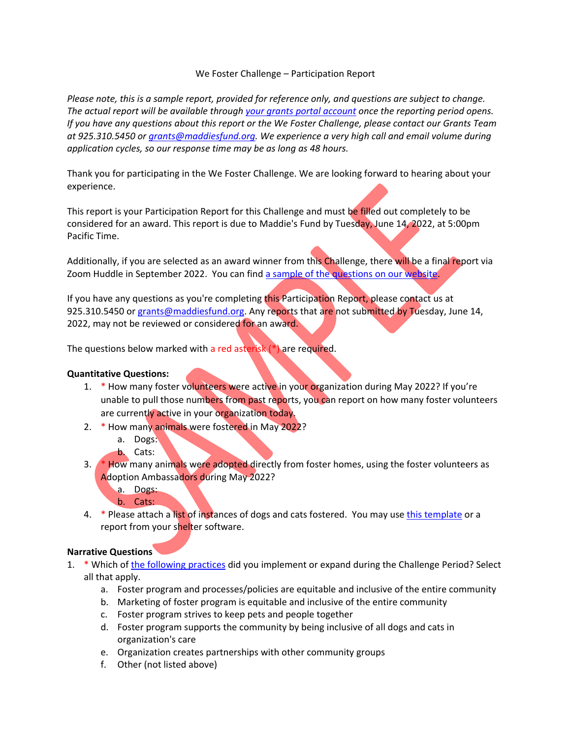## We Foster Challenge – Participation Report

Please note, this is a sample report, provided for reference only, and questions are subject to change. *The actual report will be available through your grants portal account once the reporting period opens.*  If you have any questions about this report or the We Foster Challenge, please contact our Grants Team *at 925.310.5450 or grants@maddiesfund.org. We experience a very high call and email volume during application cycles, so our response time may be as long as 48 hours.*

Thank you for participating in the We Foster Challenge. We are looking forward to hearing about your experience.

This report is your Participation Report for this Challenge and must be filled out completely to be considered for an award. This report is due to Maddie's Fund by Tuesday, June 14, 2022, at 5:00pm Pacific Time.

Additionally, if you are selected as an award winner from this Challenge, there will be a final report via Zoom Huddle in September 2022. You can find a sample of the questions on our website.

If you have any questions as you're completing this Participation Report, please contact us at 925.310.5450 or grants@maddiesfund.org. Any reports that are not submitted by Tuesday, June 14, 2022, may not be reviewed or considered for an award.

The questions below marked with a red asterisk (\*) are required.

## **Quantitative Questions:**

- 1. \* How many foster volunteers were active in your organization during May 2022? If you're unable to pull those numbers from past reports, you can report on how many foster volunteers are currently active in your organization today.
- 2. \* How many animals were fostered in May 2022?
	- a. Dogs:
	- b. Cats:
- 3. \* How many animals were adopted directly from foster homes, using the foster volunteers as Adoption Ambassadors during May 2022?
	- a. Dogs:
	- b. Cats:
- 4. \* Please attach a list of instances of dogs and cats fostered. You may use this template or a report from your shelter software.

## **Narrative Questions**

- 1. \* Which of the following practices did you implement or expand during the Challenge Period? Select all that apply.
	- a. Foster program and processes/policies are equitable and inclusive of the entire community
	- b. Marketing of foster program is equitable and inclusive of the entire community
	- c. Foster program strives to keep pets and people together
	- d. Foster program supports the community by being inclusive of all dogs and cats in organization's care
	- e. Organization creates partnerships with other community groups
	- f. Other (not listed above)